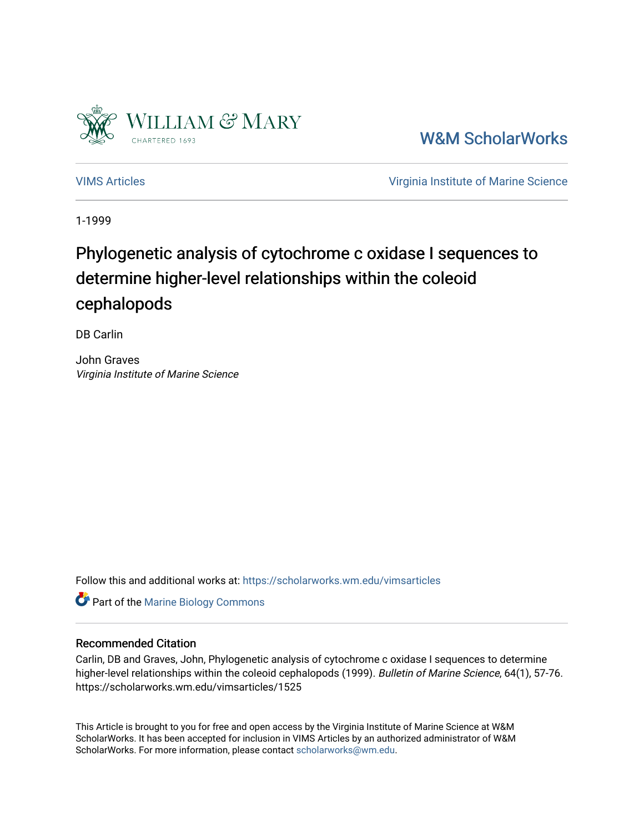

[W&M ScholarWorks](https://scholarworks.wm.edu/) 

[VIMS Articles](https://scholarworks.wm.edu/vimsarticles) [Virginia Institute of Marine Science](https://scholarworks.wm.edu/vims) 

1-1999

# Phylogenetic analysis of cytochrome c oxidase I sequences to determine higher-level relationships within the coleoid cephalopods

DB Carlin

John Graves Virginia Institute of Marine Science

Follow this and additional works at: [https://scholarworks.wm.edu/vimsarticles](https://scholarworks.wm.edu/vimsarticles?utm_source=scholarworks.wm.edu%2Fvimsarticles%2F1525&utm_medium=PDF&utm_campaign=PDFCoverPages)

**Part of the Marine Biology Commons** 

# Recommended Citation

Carlin, DB and Graves, John, Phylogenetic analysis of cytochrome c oxidase I sequences to determine higher-level relationships within the coleoid cephalopods (1999). Bulletin of Marine Science, 64(1), 57-76. https://scholarworks.wm.edu/vimsarticles/1525

This Article is brought to you for free and open access by the Virginia Institute of Marine Science at W&M ScholarWorks. It has been accepted for inclusion in VIMS Articles by an authorized administrator of W&M ScholarWorks. For more information, please contact [scholarworks@wm.edu.](mailto:scholarworks@wm.edu)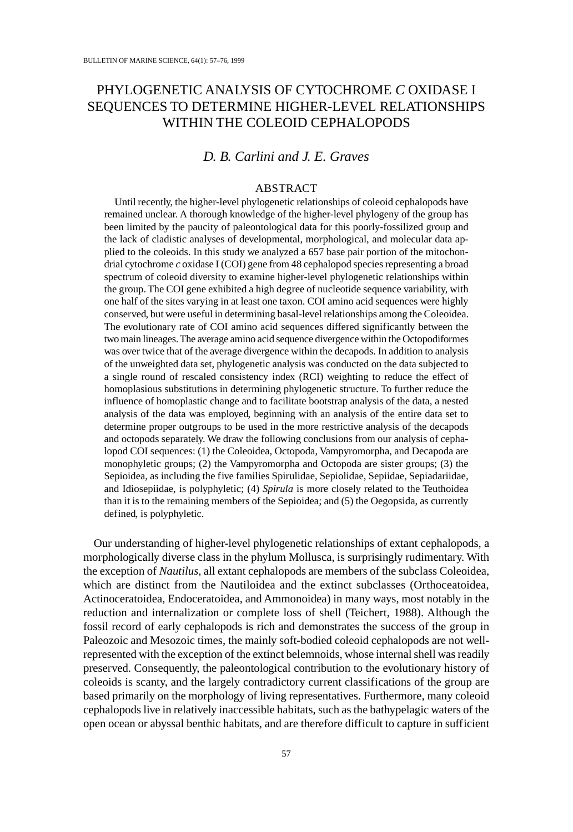# PHYLOGENETIC ANALYSIS OF CYTOCHROME *C* OXIDASE I SEQUENCES TO DETERMINE HIGHER-LEVEL RELATIONSHIPS WITHIN THE COLEOID CEPHALOPODS

## *D. B. Carlini and J. E. Graves*

### ABSTRACT

Until recently, the higher-level phylogenetic relationships of coleoid cephalopods have remained unclear. A thorough knowledge of the higher-level phylogeny of the group has been limited by the paucity of paleontological data for this poorly-fossilized group and the lack of cladistic analyses of developmental, morphological, and molecular data applied to the coleoids. In this study we analyzed a 657 base pair portion of the mitochondrial cytochrome *c* oxidase I (COI) gene from 48 cephalopod species representing a broad spectrum of coleoid diversity to examine higher-level phylogenetic relationships within the group. The COI gene exhibited a high degree of nucleotide sequence variability, with one half of the sites varying in at least one taxon. COI amino acid sequences were highly conserved, but were useful in determining basal-level relationships among the Coleoidea. The evolutionary rate of COI amino acid sequences differed significantly between the two main lineages. The average amino acid sequence divergence within the Octopodiformes was over twice that of the average divergence within the decapods. In addition to analysis of the unweighted data set, phylogenetic analysis was conducted on the data subjected to a single round of rescaled consistency index (RCI) weighting to reduce the effect of homoplasious substitutions in determining phylogenetic structure. To further reduce the influence of homoplastic change and to facilitate bootstrap analysis of the data, a nested analysis of the data was employed, beginning with an analysis of the entire data set to determine proper outgroups to be used in the more restrictive analysis of the decapods and octopods separately. We draw the following conclusions from our analysis of cephalopod COI sequences: (1) the Coleoidea, Octopoda, Vampyromorpha, and Decapoda are monophyletic groups; (2) the Vampyromorpha and Octopoda are sister groups; (3) the Sepioidea, as including the five families Spirulidae, Sepiolidae, Sepiidae, Sepiadariidae, and Idiosepiidae, is polyphyletic; (4) *Spirula* is more closely related to the Teuthoidea than it is to the remaining members of the Sepioidea; and (5) the Oegopsida, as currently defined, is polyphyletic.

Our understanding of higher-level phylogenetic relationships of extant cephalopods, a morphologically diverse class in the phylum Mollusca, is surprisingly rudimentary. With the exception of *Nautilus*, all extant cephalopods are members of the subclass Coleoidea, which are distinct from the Nautiloidea and the extinct subclasses (Orthoceatoidea, Actinoceratoidea, Endoceratoidea, and Ammonoidea) in many ways, most notably in the reduction and internalization or complete loss of shell (Teichert, 1988). Although the fossil record of early cephalopods is rich and demonstrates the success of the group in Paleozoic and Mesozoic times, the mainly soft-bodied coleoid cephalopods are not wellrepresented with the exception of the extinct belemnoids, whose internal shell was readily preserved. Consequently, the paleontological contribution to the evolutionary history of coleoids is scanty, and the largely contradictory current classifications of the group are based primarily on the morphology of living representatives. Furthermore, many coleoid cephalopods live in relatively inaccessible habitats, such as the bathypelagic waters of the open ocean or abyssal benthic habitats, and are therefore difficult to capture in sufficient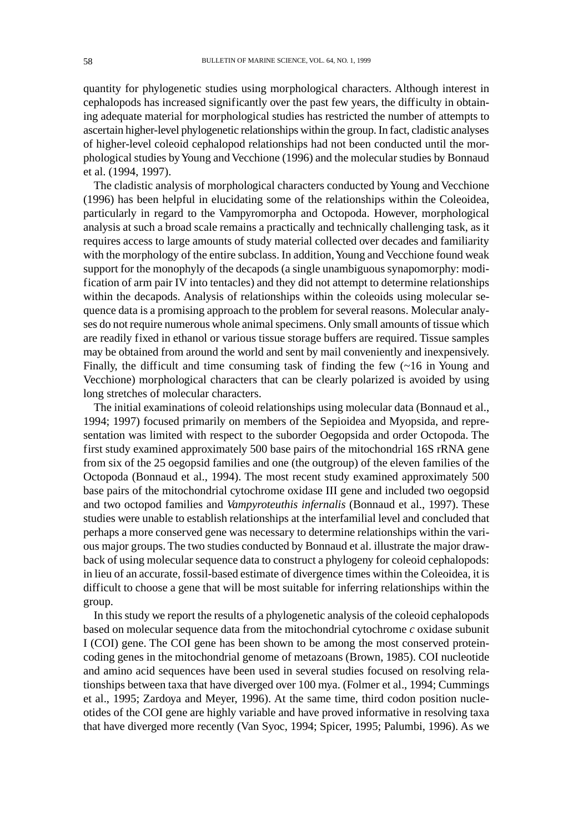quantity for phylogenetic studies using morphological characters. Although interest in cephalopods has increased significantly over the past few years, the difficulty in obtaining adequate material for morphological studies has restricted the number of attempts to ascertain higher-level phylogenetic relationships within the group. In fact, cladistic analyses of higher-level coleoid cephalopod relationships had not been conducted until the morphological studies by Young and Vecchione (1996) and the molecular studies by Bonnaud et al. (1994, 1997).

The cladistic analysis of morphological characters conducted by Young and Vecchione (1996) has been helpful in elucidating some of the relationships within the Coleoidea, particularly in regard to the Vampyromorpha and Octopoda. However, morphological analysis at such a broad scale remains a practically and technically challenging task, as it requires access to large amounts of study material collected over decades and familiarity with the morphology of the entire subclass. In addition, Young and Vecchione found weak support for the monophyly of the decapods (a single unambiguous synapomorphy: modification of arm pair IV into tentacles) and they did not attempt to determine relationships within the decapods. Analysis of relationships within the coleoids using molecular sequence data is a promising approach to the problem for several reasons. Molecular analyses do not require numerous whole animal specimens. Only small amounts of tissue which are readily fixed in ethanol or various tissue storage buffers are required. Tissue samples may be obtained from around the world and sent by mail conveniently and inexpensively. Finally, the difficult and time consuming task of finding the few (~16 in Young and Vecchione) morphological characters that can be clearly polarized is avoided by using long stretches of molecular characters.

The initial examinations of coleoid relationships using molecular data (Bonnaud et al., 1994; 1997) focused primarily on members of the Sepioidea and Myopsida, and representation was limited with respect to the suborder Oegopsida and order Octopoda. The first study examined approximately 500 base pairs of the mitochondrial 16S rRNA gene from six of the 25 oegopsid families and one (the outgroup) of the eleven families of the Octopoda (Bonnaud et al., 1994). The most recent study examined approximately 500 base pairs of the mitochondrial cytochrome oxidase III gene and included two oegopsid and two octopod families and *Vampyroteuthis infernalis* (Bonnaud et al., 1997). These studies were unable to establish relationships at the interfamilial level and concluded that perhaps a more conserved gene was necessary to determine relationships within the various major groups. The two studies conducted by Bonnaud et al. illustrate the major drawback of using molecular sequence data to construct a phylogeny for coleoid cephalopods: in lieu of an accurate, fossil-based estimate of divergence times within the Coleoidea, it is difficult to choose a gene that will be most suitable for inferring relationships within the group.

In this study we report the results of a phylogenetic analysis of the coleoid cephalopods based on molecular sequence data from the mitochondrial cytochrome *c* oxidase subunit I (COI) gene. The COI gene has been shown to be among the most conserved proteincoding genes in the mitochondrial genome of metazoans (Brown, 1985). COI nucleotide and amino acid sequences have been used in several studies focused on resolving relationships between taxa that have diverged over 100 mya. (Folmer et al., 1994; Cummings et al., 1995; Zardoya and Meyer, 1996). At the same time, third codon position nucleotides of the COI gene are highly variable and have proved informative in resolving taxa that have diverged more recently (Van Syoc, 1994; Spicer, 1995; Palumbi, 1996). As we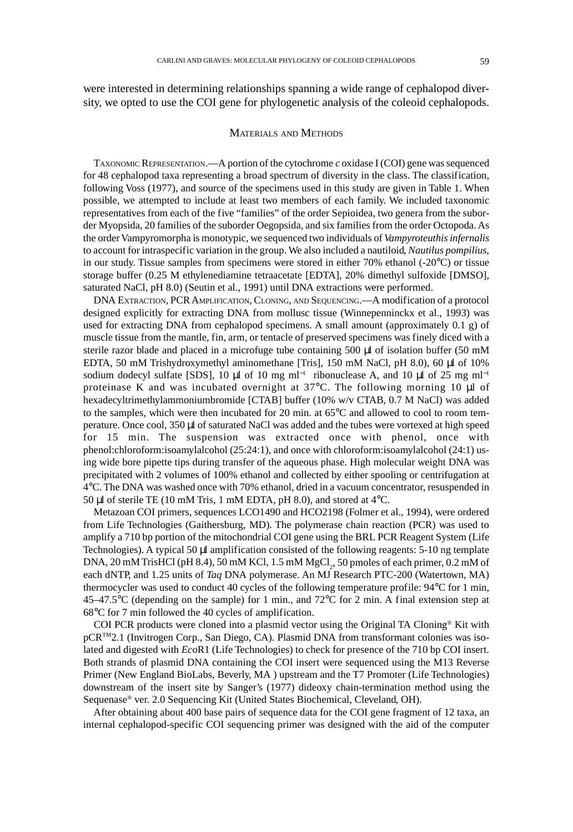were interested in determining relationships spanning a wide range of cephalopod diversity, we opted to use the COI gene for phylogenetic analysis of the coleoid cephalopods.

#### MATERIALS AND METHODS

TAXONOMIC REPRESENTATION.—A portion of the cytochrome *c* oxidase I (COI) gene was sequenced for 48 cephalopod taxa representing a broad spectrum of diversity in the class. The classification, following Voss (1977), and source of the specimens used in this study are given in Table 1. When possible, we attempted to include at least two members of each family. We included taxonomic representatives from each of the five "families" of the order Sepioidea, two genera from the suborder Myopsida, 20 families of the suborder Oegopsida, and six families from the order Octopoda. As the order Vampyromorpha is monotypic, we sequenced two individuals of *Vampyroteuthis infernalis* to account for intraspecific variation in the group. We also included a nautiloid, *Nautilus pompilius*, in our study. Tissue samples from specimens were stored in either 70% ethanol (-20°C) or tissue storage buffer (0.25 M ethylenediamine tetraacetate [EDTA], 20% dimethyl sulfoxide [DMSO], saturated NaCl, pH 8.0) (Seutin et al., 1991) until DNA extractions were performed.

DNA EXTRACTION, PCR AMPLIFICATION, CLONING, AND SEQUENCING.—A modification of a protocol designed explicitly for extracting DNA from mollusc tissue (Winnepenninckx et al., 1993) was used for extracting DNA from cephalopod specimens. A small amount (approximately 0.1 g) of muscle tissue from the mantle, fin, arm, or tentacle of preserved specimens was finely diced with a sterile razor blade and placed in a microfuge tube containing 500  $\mu$ l of isolation buffer (50 mM EDTA, 50 mM Trishydroxymethyl aminomethane [Tris], 150 mM NaCl, pH 8.0), 60 µl of 10% sodium dodecyl sulfate [SDS], 10 µl of 10 mg ml<sup>-1</sup> ribonuclease A, and 10 µl of 25 mg ml<sup>-1</sup> proteinase K and was incubated overnight at 37°C. The following morning 10 µl of hexadecyltrimethylammoniumbromide [CTAB] buffer (10% w/v CTAB, 0.7 M NaCl) was added to the samples, which were then incubated for 20 min. at 65°C and allowed to cool to room temperature. Once cool, 350 µl of saturated NaCl was added and the tubes were vortexed at high speed for 15 min. The suspension was extracted once with phenol, once with phenol:chloroform:isoamylalcohol (25:24:1), and once with chloroform:isoamylalcohol (24:1) using wide bore pipette tips during transfer of the aqueous phase. High molecular weight DNA was precipitated with 2 volumes of 100% ethanol and collected by either spooling or centrifugation at 4°C. The DNA was washed once with 70% ethanol, dried in a vacuum concentrator, resuspended in 50 µl of sterile TE (10 mM Tris, 1 mM EDTA, pH 8.0), and stored at 4°C.

Metazoan COI primers, sequences LCO1490 and HCO2198 (Folmer et al., 1994), were ordered from Life Technologies (Gaithersburg, MD). The polymerase chain reaction (PCR) was used to amplify a 710 bp portion of the mitochondrial COI gene using the BRL PCR Reagent System (Life Technologies). A typical 50 µl amplification consisted of the following reagents: 5-10 ng template DNA, 20 mM TrisHCl (pH 8.4), 50 mM KCl, 1.5 mM  ${MgCl}_2$ , 50 pmoles of each primer, 0.2 mM of each dNTP, and 1.25 units of *Taq* DNA polymerase. An MJ Research PTC-200 (Watertown, MA) thermocycler was used to conduct 40 cycles of the following temperature profile: 94°C for 1 min, 45–47.5°C (depending on the sample) for 1 min., and 72°C for 2 min. A final extension step at 68°C for 7 min followed the 40 cycles of amplification.

COI PCR products were cloned into a plasmid vector using the Original TA Cloning® Kit with pCR™2.1 (Invitrogen Corp., San Diego, CA). Plasmid DNA from transformant colonies was isolated and digested with *Eco*R1 (Life Technologies) to check for presence of the 710 bp COI insert. Both strands of plasmid DNA containing the COI insert were sequenced using the M13 Reverse Primer (New England BioLabs, Beverly, MA ) upstream and the T7 Promoter (Life Technologies) downstream of the insert site by Sanger's (1977) dideoxy chain-termination method using the Sequenase® ver. 2.0 Sequencing Kit (United States Biochemical, Cleveland, OH).

After obtaining about 400 base pairs of sequence data for the COI gene fragment of 12 taxa, an internal cephalopod-specific COI sequencing primer was designed with the aid of the computer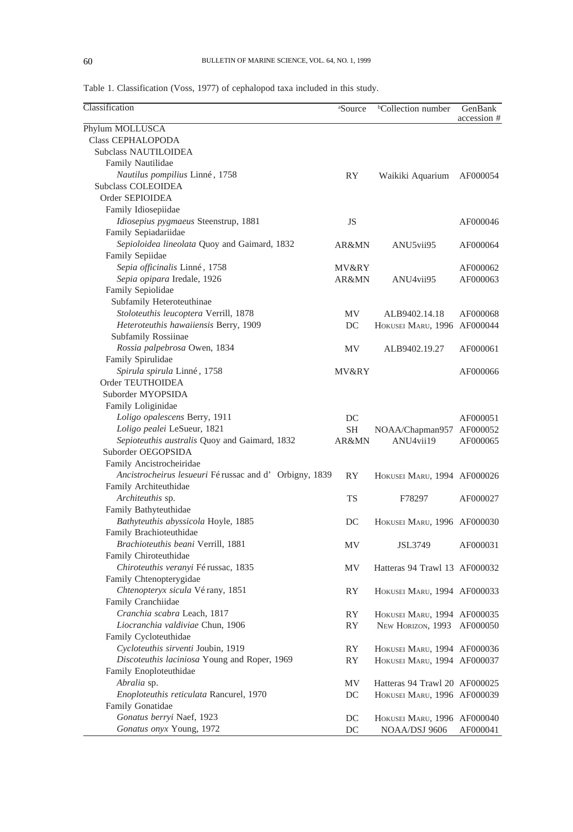Table 1. Classification (Voss, 1977) of cephalopod taxa included in this study.

| Classification                                                  | <sup>a</sup> Source | <sup>b</sup> Collection number | GenBank<br>accession # |
|-----------------------------------------------------------------|---------------------|--------------------------------|------------------------|
| Phylum MOLLUSCA                                                 |                     |                                |                        |
| <b>Class CEPHALOPODA</b>                                        |                     |                                |                        |
| Subclass NAUTILOIDEA                                            |                     |                                |                        |
| Family Nautilidae                                               |                     |                                |                        |
| Nautilus pompilius Linné, 1758                                  | RY                  | Waikiki Aquarium               | AF000054               |
| Subclass COLEOIDEA                                              |                     |                                |                        |
| Order SEPIOIDEA                                                 |                     |                                |                        |
| Family Idiosepiidae                                             |                     |                                |                        |
| Idiosepius pygmaeus Steenstrup, 1881                            | JS                  |                                | AF000046               |
| Family Sepiadariidae                                            |                     |                                |                        |
| Sepioloidea lineolata Quoy and Gaimard, 1832                    | AR&MN               | ANU5vii95                      | AF000064               |
| Family Sepiidae                                                 |                     |                                |                        |
| Sepia officinalis Linné, 1758                                   | MV&RY               |                                | AF000062               |
| Sepia opipara Iredale, 1926                                     | AR&MN               | ANU4vii95                      | AF000063               |
| Family Sepiolidae                                               |                     |                                |                        |
| Subfamily Heteroteuthinae                                       |                     |                                |                        |
| Stoloteuthis leucoptera Verrill, 1878                           | MV                  | ALB9402.14.18                  | AF000068               |
| Heteroteuthis hawaiiensis Berry, 1909                           | DC                  | HOKUSEI MARU, 1996 AF000044    |                        |
| Subfamily Rossiinae                                             |                     |                                |                        |
| Rossia palpebrosa Owen, 1834                                    | ΜV                  | ALB9402.19.27                  | AF000061               |
| Family Spirulidae                                               |                     |                                |                        |
| Spirula spirula Linné, 1758                                     | MV&RY               |                                | AF000066               |
| Order TEUTHOIDEA                                                |                     |                                |                        |
| Suborder MYOPSIDA                                               |                     |                                |                        |
| Family Loliginidae                                              |                     |                                |                        |
| Loligo opalescens Berry, 1911                                   | DC                  |                                | AF000051               |
| Loligo pealei LeSueur, 1821                                     | SН                  | NOAA/Chapman957 AF000052       |                        |
| Sepioteuthis australis Quoy and Gaimard, 1832                   | AR&MN               | ANU4vii19                      | AF000065               |
| Suborder OEGOPSIDA                                              |                     |                                |                        |
| Family Ancistrocheiridae                                        |                     |                                |                        |
| Ancistrocheirus lesueuri Férussac and d' Orbigny, 1839          | <b>RY</b>           | HOKUSEI MARU, 1994 AF000026    |                        |
| Family Architeuthidae                                           |                     |                                |                        |
| Architeuthis sp.                                                | <b>TS</b>           | F78297                         | AF000027               |
| Family Bathyteuthidae                                           |                     |                                |                        |
| Bathyteuthis abyssicola Hoyle, 1885                             | DC                  |                                |                        |
| Family Brachioteuthidae                                         |                     | HOKUSEI MARU, 1996 AF000030    |                        |
| Brachioteuthis beani Verrill, 1881                              | MV                  |                                |                        |
| Family Chiroteuthidae                                           |                     | JSL3749                        | AF000031               |
| Chiroteuthis veranyi Férussac, 1835                             |                     |                                |                        |
| Family Chtenopterygidae                                         | MV                  | Hatteras 94 Trawl 13 AF000032  |                        |
|                                                                 |                     |                                |                        |
| Chtenopteryx sicula Vérany, 1851<br>Family Cranchiidae          | RY                  | HOKUSEI MARU, 1994 AF000033    |                        |
|                                                                 |                     |                                |                        |
| Cranchia scabra Leach, 1817<br>Liocranchia valdiviae Chun, 1906 | RY                  | HOKUSEI MARU, 1994 AF000035    |                        |
|                                                                 | RY                  | NEW HORIZON, 1993 AF000050     |                        |
| Family Cycloteuthidae                                           |                     |                                |                        |
| Cycloteuthis sirventi Joubin, 1919                              | RY                  | HOKUSEI MARU, 1994 AF000036    |                        |
| Discoteuthis laciniosa Young and Roper, 1969                    | RY                  | HOKUSEI MARU, 1994 AF000037    |                        |
| Family Enoploteuthidae                                          |                     |                                |                        |
| Abralia sp.                                                     | MV                  | Hatteras 94 Trawl 20 AF000025  |                        |
| Enoploteuthis reticulata Rancurel, 1970                         | DC                  | HOKUSEI MARU, 1996 AF000039    |                        |
| Family Gonatidae                                                |                     |                                |                        |
| Gonatus berryi Naef, 1923                                       | DC                  | HOKUSEI MARU, 1996 AF000040    |                        |
| Gonatus onyx Young, 1972                                        | DC                  | NOAA/DSJ 9606                  | AF000041               |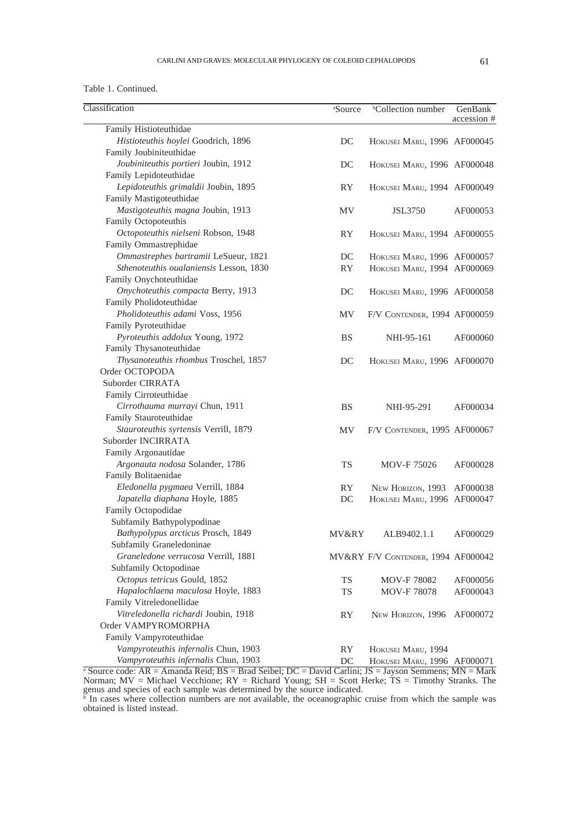#### Table 1. Continued.

| Classification                          | <sup>a</sup> Source | <sup>b</sup> Collection number     | GenBank     |
|-----------------------------------------|---------------------|------------------------------------|-------------|
| Family Histioteuthidae                  |                     |                                    | accession # |
| Histioteuthis hoylei Goodrich, 1896     | DC                  | HOKUSEI MARU, 1996 AF000045        |             |
| Family Joubiniteuthidae                 |                     |                                    |             |
| Joubiniteuthis portieri Joubin, 1912    | DC                  | HOKUSEI MARU, 1996 AF000048        |             |
| Family Lepidoteuthidae                  |                     |                                    |             |
| Lepidoteuthis grimaldii Joubin, 1895    | RY                  | HOKUSEI MARU, 1994 AF000049        |             |
| Family Mastigoteuthidae                 |                     |                                    |             |
| Mastigoteuthis magna Joubin, 1913       | MV                  | <b>JSL3750</b>                     | AF000053    |
| Family Octopoteuthis                    |                     |                                    |             |
| Octopoteuthis nielseni Robson, 1948     | <b>RY</b>           | HOKUSEI MARU, 1994 AF000055        |             |
| Family Ommastrephidae                   |                     |                                    |             |
| Ommastrephes bartramii LeSueur, 1821    | DC                  | HOKUSEI MARU, 1996 AF000057        |             |
| Sthenoteuthis oualaniensis Lesson, 1830 | <b>RY</b>           | HOKUSEI MARU, 1994 AF000069        |             |
| Family Onychoteuthidae                  |                     |                                    |             |
| Onychoteuthis compacta Berry, 1913      | DC                  | HOKUSEI MARU, 1996 AF000058        |             |
| Family Pholidoteuthidae                 |                     |                                    |             |
| Pholidoteuthis adami Voss, 1956         | MV                  | F/V CONTENDER, 1994 AF000059       |             |
| Family Pyroteuthidae                    |                     |                                    |             |
| Pyroteuthis addolux Young, 1972         | <b>BS</b>           | NHI-95-161                         | AF000060    |
| Family Thysanoteuthidae                 |                     |                                    |             |
| Thysanoteuthis rhombus Troschel, 1857   | DC                  | HOKUSEI MARU, 1996 AF000070        |             |
| Order OCTOPODA                          |                     |                                    |             |
| Suborder CIRRATA                        |                     |                                    |             |
| Family Cirroteuthidae                   |                     |                                    |             |
| Cirrothauma murrayi Chun, 1911          | <b>BS</b>           | NHI-95-291                         | AF000034    |
| Family Stauroteuthidae                  |                     |                                    |             |
| Stauroteuthis syrtensis Verrill, 1879   | MV                  | F/V CONTENDER, 1995 AF000067       |             |
| Suborder INCIRRATA                      |                     |                                    |             |
| Family Argonautidae                     |                     |                                    |             |
| Argonauta nodosa Solander, 1786         | <b>TS</b>           | MOV-F 75026                        | AF000028    |
| Family Bolitaenidae                     |                     |                                    |             |
| Eledonella pygmaea Verrill, 1884        | <b>RY</b>           | NEW HORIZON, 1993                  | AF000038    |
| Japatella diaphana Hoyle, 1885          | DC                  | HOKUSEI MARU, 1996 AF000047        |             |
| Family Octopodidae                      |                     |                                    |             |
| Subfamily Bathypolypodinae              |                     |                                    |             |
| Bathypolypus arcticus Prosch, 1849      | MV&RY               | ALB9402.1.1                        | AF000029    |
| Subfamily Graneledoninae                |                     |                                    |             |
| Graneledone verrucosa Verrill, 1881     |                     | MV&RY F/V CONTENDER, 1994 AF000042 |             |
| Subfamily Octopodinae                   |                     |                                    |             |
| Octopus tetricus Gould, 1852            | <b>TS</b>           | MOV-F 78082                        | AF000056    |
| Hapalochlaena maculosa Hoyle, 1883      | <b>TS</b>           | <b>MOV-F78078</b>                  | AF000043    |
| Family Vitreledonellidae                |                     |                                    |             |
| Vitreledonella richardi Joubin, 1918    | RY                  | NEW HORIZON, 1996                  | AF000072    |
| Order VAMPYROMORPHA                     |                     |                                    |             |
| Family Vampyroteuthidae                 |                     |                                    |             |
| Vampyroteuthis infernalis Chun, 1903    | RY                  | HOKUSEI MARU, 1994                 |             |
| Vampyroteuthis infernalis Chun, 1903    | DC                  | HOKUSEI MARU, 1996 AF000071        |             |

<sup>a</sup> Source code: AR = Amanda Reid; BS = Brad Seibel; DC = David Carlini; JS = Jayson Semmens; MN = Mark Norman; MV = Michael Vecchione; RY = Richard Young; SH = Scott Herke; TS = Timothy Stranks. The genus and species of each sample was determined by the source indicated.<br><sup>b</sup> In cases where collection numbers are not available, the oceanographic cruise from which the sample was

obtained is listed instead.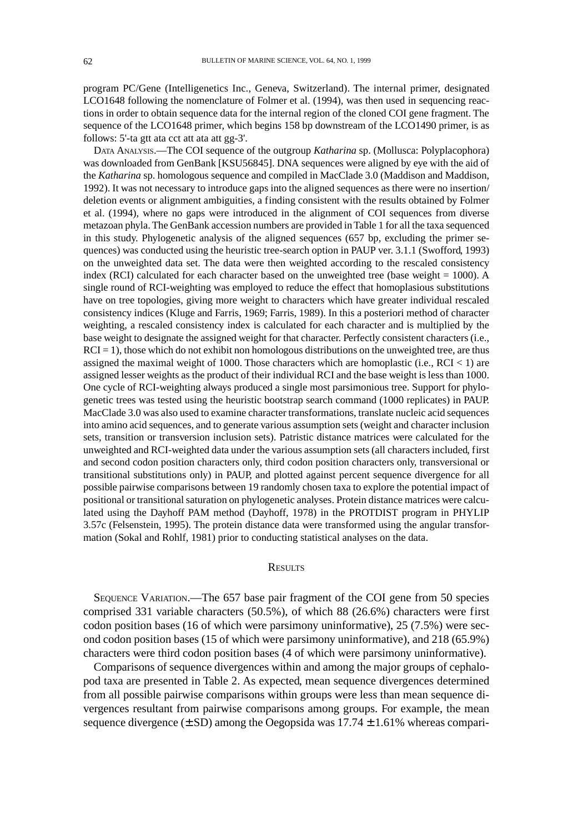program PC/Gene (Intelligenetics Inc., Geneva, Switzerland). The internal primer, designated LCO1648 following the nomenclature of Folmer et al. (1994), was then used in sequencing reactions in order to obtain sequence data for the internal region of the cloned COI gene fragment. The sequence of the LCO1648 primer, which begins 158 bp downstream of the LCO1490 primer, is as follows: 5'-ta gtt ata cct att ata att gg-3'.

DATA ANALYSIS.—The COI sequence of the outgroup *Katharina* sp. (Mollusca: Polyplacophora) was downloaded from GenBank [KSU56845]. DNA sequences were aligned by eye with the aid of the *Katharina* sp. homologous sequence and compiled in MacClade 3.0 (Maddison and Maddison, 1992). It was not necessary to introduce gaps into the aligned sequences as there were no insertion/ deletion events or alignment ambiguities, a finding consistent with the results obtained by Folmer et al. (1994), where no gaps were introduced in the alignment of COI sequences from diverse metazoan phyla. The GenBank accession numbers are provided in Table 1 for all the taxa sequenced in this study. Phylogenetic analysis of the aligned sequences (657 bp, excluding the primer sequences) was conducted using the heuristic tree-search option in PAUP ver. 3.1.1 (Swofford, 1993) on the unweighted data set. The data were then weighted according to the rescaled consistency index (RCI) calculated for each character based on the unweighted tree (base weight = 1000). A single round of RCI-weighting was employed to reduce the effect that homoplasious substitutions have on tree topologies, giving more weight to characters which have greater individual rescaled consistency indices (Kluge and Farris, 1969; Farris, 1989). In this a posteriori method of character weighting, a rescaled consistency index is calculated for each character and is multiplied by the base weight to designate the assigned weight for that character. Perfectly consistent characters (i.e.,  $RCI = 1$ ), those which do not exhibit non homologous distributions on the unweighted tree, are thus assigned the maximal weight of 1000. Those characters which are homoplastic (i.e.,  $RCI < 1$ ) are assigned lesser weights as the product of their individual RCI and the base weight is less than 1000. One cycle of RCI-weighting always produced a single most parsimonious tree. Support for phylogenetic trees was tested using the heuristic bootstrap search command (1000 replicates) in PAUP. MacClade 3.0 was also used to examine character transformations, translate nucleic acid sequences into amino acid sequences, and to generate various assumption sets (weight and character inclusion sets, transition or transversion inclusion sets). Patristic distance matrices were calculated for the unweighted and RCI-weighted data under the various assumption sets (all characters included, first and second codon position characters only, third codon position characters only, transversional or transitional substitutions only) in PAUP, and plotted against percent sequence divergence for all possible pairwise comparisons between 19 randomly chosen taxa to explore the potential impact of positional or transitional saturation on phylogenetic analyses. Protein distance matrices were calculated using the Dayhoff PAM method (Dayhoff, 1978) in the PROTDIST program in PHYLIP 3.57c (Felsenstein, 1995). The protein distance data were transformed using the angular transformation (Sokal and Rohlf, 1981) prior to conducting statistical analyses on the data.

#### **RESULTS**

SEQUENCE VARIATION.—The 657 base pair fragment of the COI gene from 50 species comprised 331 variable characters (50.5%), of which 88 (26.6%) characters were first codon position bases (16 of which were parsimony uninformative), 25 (7.5%) were second codon position bases (15 of which were parsimony uninformative), and 218 (65.9%) characters were third codon position bases (4 of which were parsimony uninformative).

Comparisons of sequence divergences within and among the major groups of cephalopod taxa are presented in Table 2. As expected, mean sequence divergences determined from all possible pairwise comparisons within groups were less than mean sequence divergences resultant from pairwise comparisons among groups. For example, the mean sequence divergence  $(\pm SD)$  among the Oegopsida was 17.74  $\pm 1.61$ % whereas compari-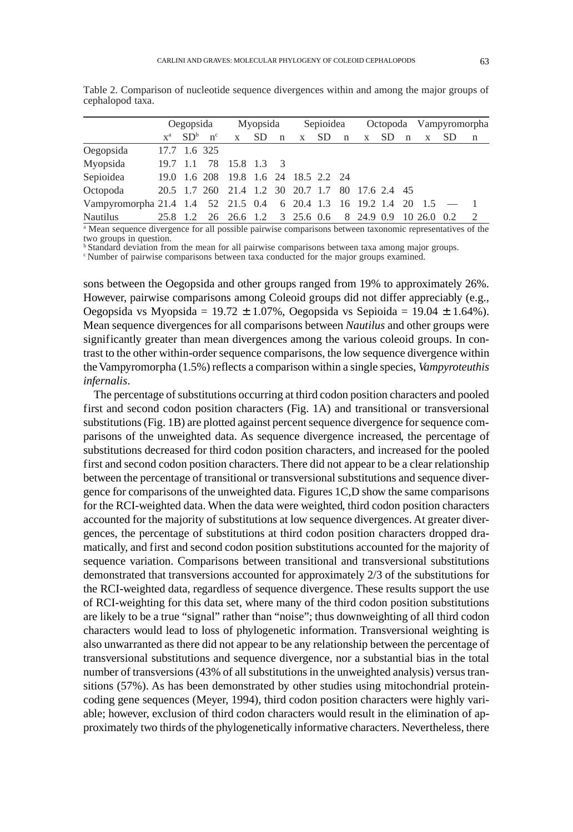|                                                                    | Oegopsida    |  | Myopsida           |                                                        | Sepioidea |  |   |  |  | Octopoda Vampyromorpha |  |  |                |     |                |
|--------------------------------------------------------------------|--------------|--|--------------------|--------------------------------------------------------|-----------|--|---|--|--|------------------------|--|--|----------------|-----|----------------|
|                                                                    |              |  | $X^a$ $SD^b$ $n^c$ | X                                                      | SD n      |  | X |  |  | $SD$ n $x$             |  |  | $SD \t n \t x$ | SD. | n              |
| Oegopsida                                                          | 17.7 1.6 325 |  |                    |                                                        |           |  |   |  |  |                        |  |  |                |     |                |
| Myopsida                                                           |              |  |                    | 19.7 1.1 78 15.8 1.3 3                                 |           |  |   |  |  |                        |  |  |                |     |                |
| Sepioidea                                                          |              |  |                    | 19.0 1.6 208 19.8 1.6 24 18.5 2.2 24                   |           |  |   |  |  |                        |  |  |                |     |                |
| Octopoda                                                           |              |  |                    | 20.5 1.7 260 21.4 1.2 30 20.7 1.7 80 17.6 2.4 45       |           |  |   |  |  |                        |  |  |                |     |                |
| Vampyromorpha 21.4 1.4 52 21.5 0.4 6 20.4 1.3 16 19.2 1.4 20 1.5 - |              |  |                    |                                                        |           |  |   |  |  |                        |  |  |                |     |                |
| Nautilus                                                           |              |  |                    | 25.8 1.2 26 26.6 1.2 3 25.6 0.6 8 24.9 0.9 10 26.0 0.2 |           |  |   |  |  |                        |  |  |                |     | $\overline{2}$ |

Table 2. Comparison of nucleotide sequence divergences within and among the major groups of .cephalopod taxa.

<sup>a</sup> Mean sequence divergence for all possible pairwise comparisons between taxonomic representatives of the two groups in question.

<sup>b</sup> Standard deviation from the mean for all pairwise comparisons between taxa among major groups. Comparisons between taxa conducted for the major groups examined.

sons between the Oegopsida and other groups ranged from 19% to approximately 26%. However, pairwise comparisons among Coleoid groups did not differ appreciably (e.g., Oegopsida vs Myopsida = 19.72 ± 1.07%, Oegopsida vs Sepioida = 19.04 ± 1.64%). Mean sequence divergences for all comparisons between *Nautilus* and other groups were significantly greater than mean divergences among the various coleoid groups. In contrast to the other within-order sequence comparisons, the low sequence divergence within the Vampyromorpha (1.5%) reflects a comparison within a single species, *Vampyroteuthis infernalis*.

The percentage of substitutions occurring at third codon position characters and pooled first and second codon position characters (Fig. 1A) and transitional or transversional substitutions (Fig. 1B) are plotted against percent sequence divergence for sequence comparisons of the unweighted data. As sequence divergence increased, the percentage of substitutions decreased for third codon position characters, and increased for the pooled first and second codon position characters. There did not appear to be a clear relationship between the percentage of transitional or transversional substitutions and sequence divergence for comparisons of the unweighted data. Figures 1C,D show the same comparisons for the RCI-weighted data. When the data were weighted, third codon position characters accounted for the majority of substitutions at low sequence divergences. At greater divergences, the percentage of substitutions at third codon position characters dropped dramatically, and first and second codon position substitutions accounted for the majority of sequence variation. Comparisons between transitional and transversional substitutions demonstrated that transversions accounted for approximately 2/3 of the substitutions for the RCI-weighted data, regardless of sequence divergence. These results support the use of RCI-weighting for this data set, where many of the third codon position substitutions are likely to be a true "signal" rather than "noise"; thus downweighting of all third codon characters would lead to loss of phylogenetic information. Transversional weighting is also unwarranted as there did not appear to be any relationship between the percentage of transversional substitutions and sequence divergence, nor a substantial bias in the total number of transversions (43% of all substitutions in the unweighted analysis) versus transitions (57%). As has been demonstrated by other studies using mitochondrial proteincoding gene sequences (Meyer, 1994), third codon position characters were highly variable; however, exclusion of third codon characters would result in the elimination of approximately two thirds of the phylogenetically informative characters. Nevertheless, there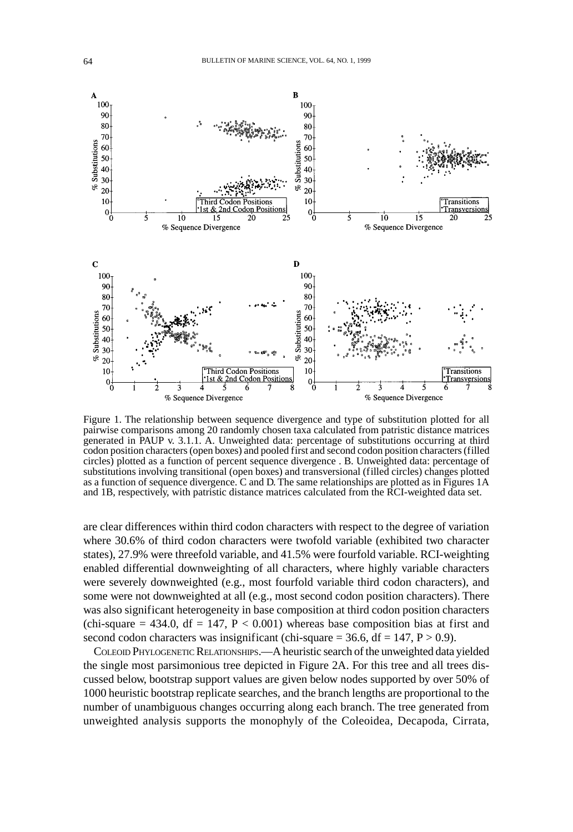

Figure 1. The relationship between sequence divergence and type of substitution plotted for all pairwise comparisons among 20 randomly chosen taxa calculated from patristic distance matrices generated in PAUP v. 3.1.1. A. Unweighted data: percentage of substitutions occurring at third codon position characters (open boxes) and pooled first and second codon position characters (filled circles) plotted as a function of percent sequence divergence . B. Unweighted data: percentage of substitutions involving transitional (open boxes) and transversional (filled circles) changes plotted as a function of sequence divergence. C and D. The same relationships are plotted as in Figures 1A and 1B, respectively, with patristic distance matrices calculated from the RCI-weighted data set.

are clear differences within third codon characters with respect to the degree of variation where 30.6% of third codon characters were twofold variable (exhibited two character states), 27.9% were threefold variable, and 41.5% were fourfold variable. RCI-weighting enabled differential downweighting of all characters, where highly variable characters were severely downweighted (e.g., most fourfold variable third codon characters), and some were not downweighted at all (e.g., most second codon position characters). There was also significant heterogeneity in base composition at third codon position characters (chi-square  $= 434.0$ , df  $= 147$ ,  $P < 0.001$ ) whereas base composition bias at first and second codon characters was insignificant (chi-square  $= 36.6$ , df  $= 147$ ,  $P > 0.9$ ).

COLEOID PHYLOGENETIC RELATIONSHIPS.—A heuristic search of the unweighted data yielded the single most parsimonious tree depicted in Figure 2A. For this tree and all trees discussed below, bootstrap support values are given below nodes supported by over 50% of 1000 heuristic bootstrap replicate searches, and the branch lengths are proportional to the number of unambiguous changes occurring along each branch. The tree generated from unweighted analysis supports the monophyly of the Coleoidea, Decapoda, Cirrata,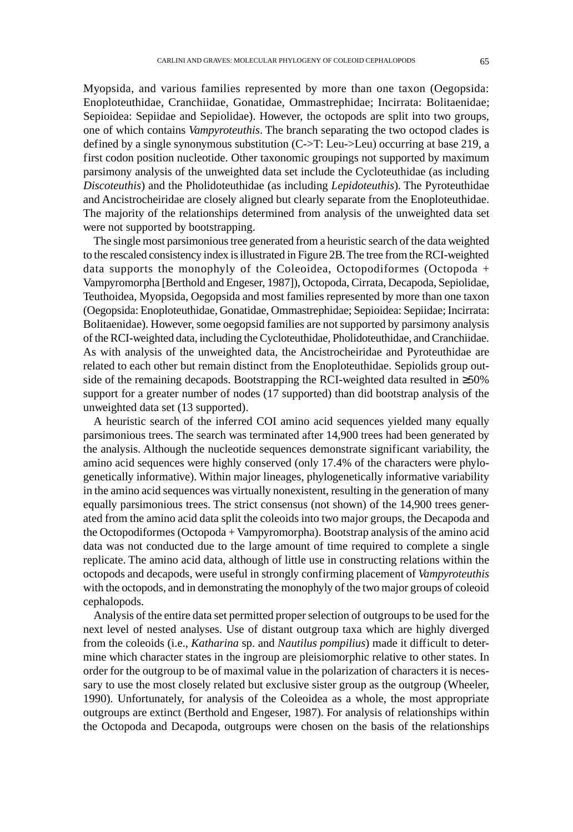Myopsida, and various families represented by more than one taxon (Oegopsida: Enoploteuthidae, Cranchiidae, Gonatidae, Ommastrephidae; Incirrata: Bolitaenidae; Sepioidea: Sepiidae and Sepiolidae). However, the octopods are split into two groups, one of which contains *Vampyroteuthis*. The branch separating the two octopod clades is defined by a single synonymous substitution (C->T: Leu->Leu) occurring at base 219, a first codon position nucleotide. Other taxonomic groupings not supported by maximum parsimony analysis of the unweighted data set include the Cycloteuthidae (as including *Discoteuthis*) and the Pholidoteuthidae (as including *Lepidoteuthis*). The Pyroteuthidae and Ancistrocheiridae are closely aligned but clearly separate from the Enoploteuthidae. The majority of the relationships determined from analysis of the unweighted data set were not supported by bootstrapping.

The single most parsimonious tree generated from a heuristic search of the data weighted to the rescaled consistency index is illustrated in Figure 2B. The tree from the RCI-weighted data supports the monophyly of the Coleoidea, Octopodiformes (Octopoda + Vampyromorpha [Berthold and Engeser, 1987]), Octopoda, Cirrata, Decapoda, Sepiolidae, Teuthoidea, Myopsida, Oegopsida and most families represented by more than one taxon (Oegopsida: Enoploteuthidae, Gonatidae, Ommastrephidae; Sepioidea: Sepiidae; Incirrata: Bolitaenidae). However, some oegopsid families are not supported by parsimony analysis of the RCI-weighted data, including the Cycloteuthidae, Pholidoteuthidae, and Cranchiidae. As with analysis of the unweighted data, the Ancistrocheiridae and Pyroteuthidae are related to each other but remain distinct from the Enoploteuthidae. Sepiolids group outside of the remaining decapods. Bootstrapping the RCI-weighted data resulted in ≥50% support for a greater number of nodes (17 supported) than did bootstrap analysis of the unweighted data set (13 supported).

A heuristic search of the inferred COI amino acid sequences yielded many equally parsimonious trees. The search was terminated after 14,900 trees had been generated by the analysis. Although the nucleotide sequences demonstrate significant variability, the amino acid sequences were highly conserved (only 17.4% of the characters were phylogenetically informative). Within major lineages, phylogenetically informative variability in the amino acid sequences was virtually nonexistent, resulting in the generation of many equally parsimonious trees. The strict consensus (not shown) of the 14,900 trees generated from the amino acid data split the coleoids into two major groups, the Decapoda and the Octopodiformes (Octopoda + Vampyromorpha). Bootstrap analysis of the amino acid data was not conducted due to the large amount of time required to complete a single replicate. The amino acid data, although of little use in constructing relations within the octopods and decapods, were useful in strongly confirming placement of *Vampyroteuthis* with the octopods, and in demonstrating the monophyly of the two major groups of coleoid cephalopods.

Analysis of the entire data set permitted proper selection of outgroups to be used for the next level of nested analyses. Use of distant outgroup taxa which are highly diverged from the coleoids (i.e., *Katharina* sp. and *Nautilus pompilius*) made it difficult to determine which character states in the ingroup are pleisiomorphic relative to other states. In order for the outgroup to be of maximal value in the polarization of characters it is necessary to use the most closely related but exclusive sister group as the outgroup (Wheeler, 1990). Unfortunately, for analysis of the Coleoidea as a whole, the most appropriate outgroups are extinct (Berthold and Engeser, 1987). For analysis of relationships within the Octopoda and Decapoda, outgroups were chosen on the basis of the relationships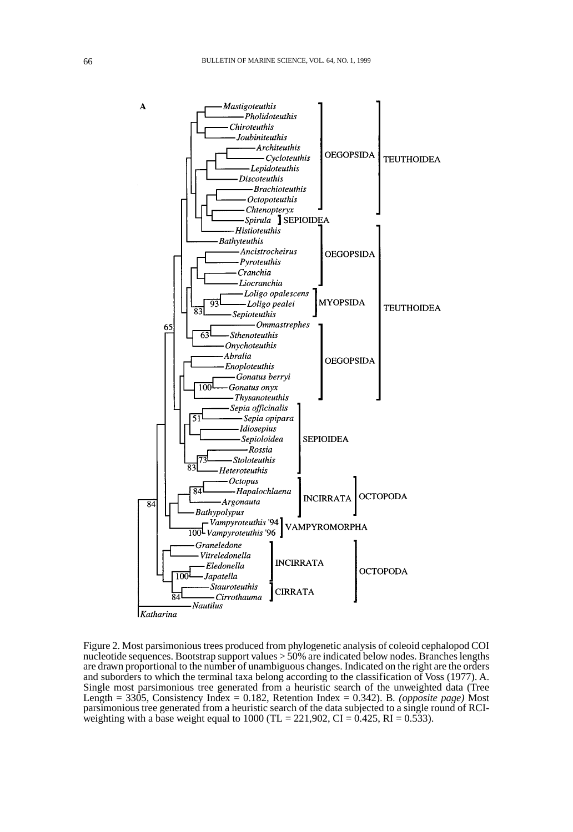

Figure 2. Most parsimonious trees produced from phylogenetic analysis of coleoid cephalopod COI nucleotide sequences. Bootstrap support values > 50% are indicated below nodes. Branches lengths are drawn proportional to the number of unambiguous changes. Indicated on the right are the orders and suborders to which the terminal taxa belong according to the classification of Voss (1977). A. Single most parsimonious tree generated from a heuristic search of the unweighted data (Tree Length = 3305, Consistency Index = 0.182, Retention Index = 0.342). B. *(opposite page)* Most parsimonious tree generated from a heuristic search of the data subjected to a single round of RCIweighting with a base weight equal to 1000 (TL = 221,902, CI = 0.425, RI = 0.533).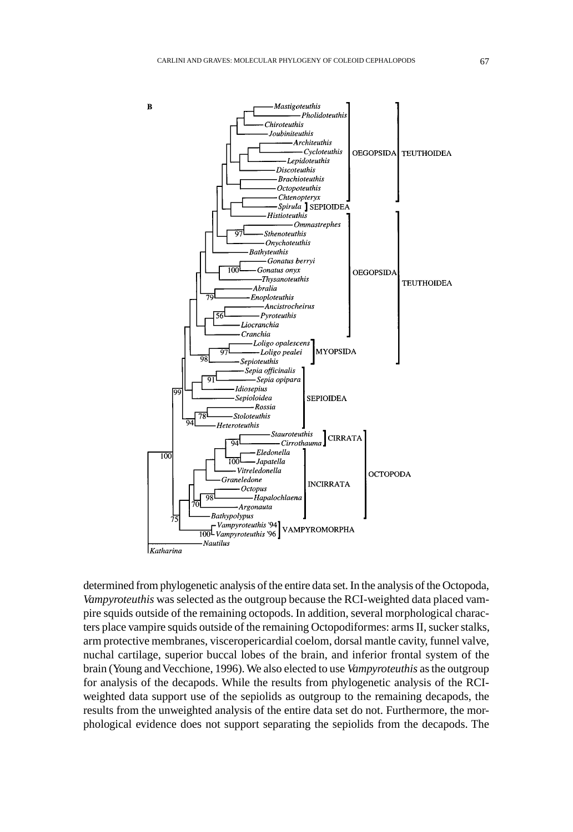

determined from phylogenetic analysis of the entire data set. In the analysis of the Octopoda, *Vampyroteuthis* was selected as the outgroup because the RCI-weighted data placed vampire squids outside of the remaining octopods. In addition, several morphological characters place vampire squids outside of the remaining Octopodiformes: arms II, sucker stalks, arm protective membranes, visceropericardial coelom, dorsal mantle cavity, funnel valve, nuchal cartilage, superior buccal lobes of the brain, and inferior frontal system of the brain (Young and Vecchione, 1996). We also elected to use *Vampyroteuthis* as the outgroup for analysis of the decapods. While the results from phylogenetic analysis of the RCIweighted data support use of the sepiolids as outgroup to the remaining decapods, the results from the unweighted analysis of the entire data set do not. Furthermore, the morphological evidence does not support separating the sepiolids from the decapods. The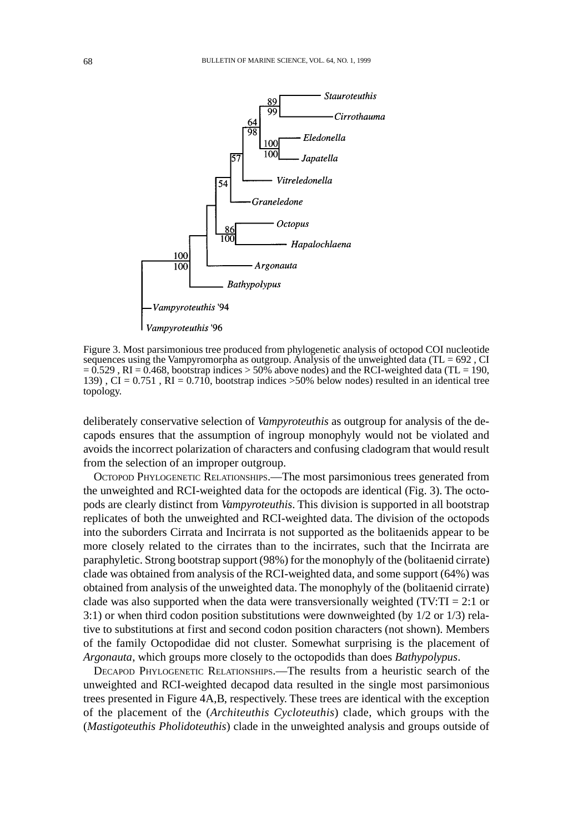

Figure 3. Most parsimonious tree produced from phylogenetic analysis of octopod COI nucleotide sequences using the Vampyromorpha as outgroup. Analysis of the unweighted data (TL = 692, CI  $= 0.529$ , RI = 0.468, bootstrap indices > 50% above nodes) and the RCI-weighted data (TL = 190, 139),  $CI = 0.751$ ,  $RI = 0.710$ , bootstrap indices  $>50\%$  below nodes) resulted in an identical tree topology.

deliberately conservative selection of *Vampyroteuthis* as outgroup for analysis of the decapods ensures that the assumption of ingroup monophyly would not be violated and avoids the incorrect polarization of characters and confusing cladogram that would result from the selection of an improper outgroup.

OCTOPOD PHYLOGENETIC RELATIONSHIPS.—The most parsimonious trees generated from the unweighted and RCI-weighted data for the octopods are identical (Fig. 3). The octopods are clearly distinct from *Vampyroteuthis*. This division is supported in all bootstrap replicates of both the unweighted and RCI-weighted data. The division of the octopods into the suborders Cirrata and Incirrata is not supported as the bolitaenids appear to be more closely related to the cirrates than to the incirrates, such that the Incirrata are paraphyletic. Strong bootstrap support (98%) for the monophyly of the (bolitaenid cirrate) clade was obtained from analysis of the RCI-weighted data, and some support (64%) was obtained from analysis of the unweighted data. The monophyly of the (bolitaenid cirrate) clade was also supported when the data were transversionally weighted (TV: $TI = 2:1$  or 3:1) or when third codon position substitutions were downweighted (by 1/2 or 1/3) relative to substitutions at first and second codon position characters (not shown). Members of the family Octopodidae did not cluster. Somewhat surprising is the placement of *Argonauta*, which groups more closely to the octopodids than does *Bathypolypus*.

DECAPOD PHYLOGENETIC RELATIONSHIPS.—The results from a heuristic search of the unweighted and RCI-weighted decapod data resulted in the single most parsimonious trees presented in Figure 4A,B, respectively. These trees are identical with the exception of the placement of the (*Architeuthis Cycloteuthis*) clade, which groups with the (*Mastigoteuthis Pholidoteuthis*) clade in the unweighted analysis and groups outside of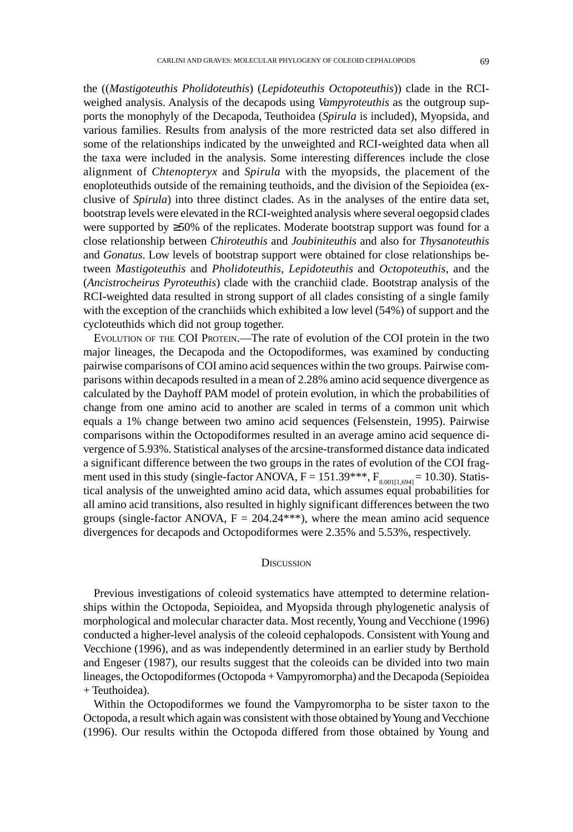the ((*Mastigoteuthis Pholidoteuthis*) (*Lepidoteuthis Octopoteuthis*)) clade in the RCIweighed analysis. Analysis of the decapods using *Vampyroteuthis* as the outgroup supports the monophyly of the Decapoda, Teuthoidea (*Spirula* is included), Myopsida, and various families. Results from analysis of the more restricted data set also differed in some of the relationships indicated by the unweighted and RCI-weighted data when all the taxa were included in the analysis. Some interesting differences include the close alignment of *Chtenopteryx* and *Spirula* with the myopsids, the placement of the enoploteuthids outside of the remaining teuthoids, and the division of the Sepioidea (exclusive of *Spirula*) into three distinct clades. As in the analyses of the entire data set, bootstrap levels were elevated in the RCI-weighted analysis where several oegopsid clades were supported by ≥50% of the replicates. Moderate bootstrap support was found for a close relationship between *Chiroteuthis* and *Joubiniteuthis* and also for *Thysanoteuthis* and *Gonatus*. Low levels of bootstrap support were obtained for close relationships between *Mastigoteuthis* and *Pholidoteuthis*, *Lepidoteuthis* and *Octopoteuthis*, and the (*Ancistrocheirus Pyroteuthis*) clade with the cranchiid clade. Bootstrap analysis of the RCI-weighted data resulted in strong support of all clades consisting of a single family with the exception of the cranchiids which exhibited a low level (54%) of support and the cycloteuthids which did not group together.

EVOLUTION OF THE COI PROTEIN.—The rate of evolution of the COI protein in the two major lineages, the Decapoda and the Octopodiformes, was examined by conducting pairwise comparisons of COI amino acid sequences within the two groups. Pairwise comparisons within decapods resulted in a mean of 2.28% amino acid sequence divergence as calculated by the Dayhoff PAM model of protein evolution, in which the probabilities of change from one amino acid to another are scaled in terms of a common unit which equals a 1% change between two amino acid sequences (Felsenstein, 1995). Pairwise comparisons within the Octopodiformes resulted in an average amino acid sequence divergence of 5.93%. Statistical analyses of the arcsine-transformed distance data indicated a significant difference between the two groups in the rates of evolution of the COI fragment used in this study (single-factor ANOVA,  $F = 151.39***$ ,  $F_{0.0011,694} = 10.30$ ). Statistical analysis of the unweighted amino acid data, which assumes equal probabilities for all amino acid transitions, also resulted in highly significant differences between the two groups (single-factor ANOVA,  $F = 204.24***$ ), where the mean amino acid sequence divergences for decapods and Octopodiformes were 2.35% and 5.53%, respectively.

#### **DISCUSSION**

Previous investigations of coleoid systematics have attempted to determine relationships within the Octopoda, Sepioidea, and Myopsida through phylogenetic analysis of morphological and molecular character data. Most recently, Young and Vecchione (1996) conducted a higher-level analysis of the coleoid cephalopods. Consistent with Young and Vecchione (1996), and as was independently determined in an earlier study by Berthold and Engeser (1987), our results suggest that the coleoids can be divided into two main lineages, the Octopodiformes (Octopoda + Vampyromorpha) and the Decapoda (Sepioidea + Teuthoidea).

Within the Octopodiformes we found the Vampyromorpha to be sister taxon to the Octopoda, a result which again was consistent with those obtained by Young and Vecchione (1996). Our results within the Octopoda differed from those obtained by Young and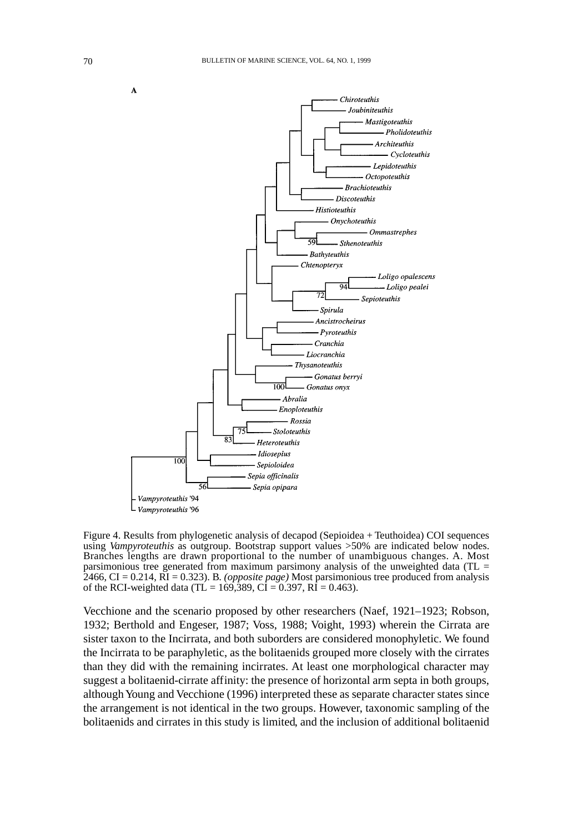

Figure 4. Results from phylogenetic analysis of decapod (Sepioidea + Teuthoidea) COI sequences using *Vampyroteuthis* as outgroup. Bootstrap support values >50% are indicated below nodes. Branches lengths are drawn proportional to the number of unambiguous changes. A. Most parsimonious tree generated from maximum parsimony analysis of the unweighted data (TL  $=$ 2466, CI = 0.214, RI = 0.323). B. *(opposite page)* Most parsimonious tree produced from analysis of the RCI-weighted data (TL = 169,389, CI = 0.397, RI = 0.463).

Vecchione and the scenario proposed by other researchers (Naef, 1921–1923; Robson, 1932; Berthold and Engeser, 1987; Voss, 1988; Voight, 1993) wherein the Cirrata are sister taxon to the Incirrata, and both suborders are considered monophyletic. We found the Incirrata to be paraphyletic, as the bolitaenids grouped more closely with the cirrates than they did with the remaining incirrates. At least one morphological character may suggest a bolitaenid-cirrate affinity: the presence of horizontal arm septa in both groups, although Young and Vecchione (1996) interpreted these as separate character states since the arrangement is not identical in the two groups. However, taxonomic sampling of the bolitaenids and cirrates in this study is limited, and the inclusion of additional bolitaenid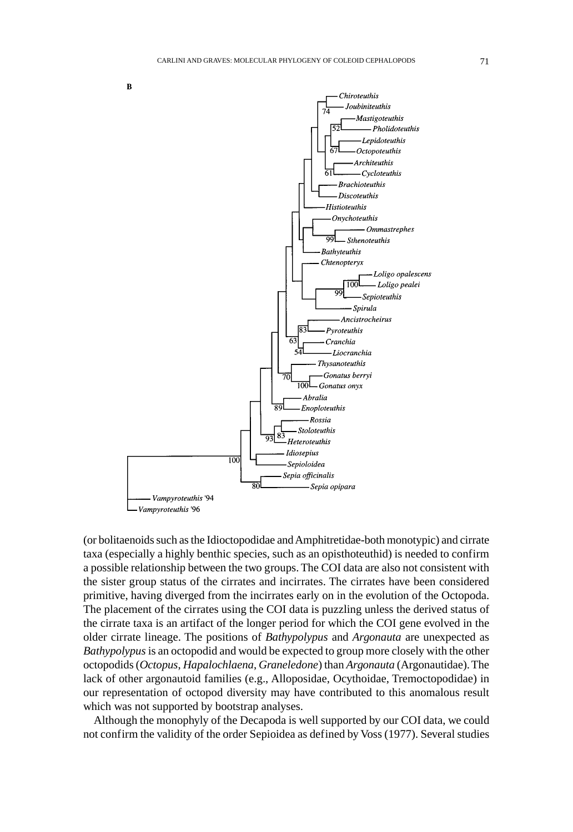

(or bolitaenoids such as the Idioctopodidae and Amphitretidae-both monotypic) and cirrate taxa (especially a highly benthic species, such as an opisthoteuthid) is needed to confirm a possible relationship between the two groups. The COI data are also not consistent with the sister group status of the cirrates and incirrates. The cirrates have been considered primitive, having diverged from the incirrates early on in the evolution of the Octopoda. The placement of the cirrates using the COI data is puzzling unless the derived status of the cirrate taxa is an artifact of the longer period for which the COI gene evolved in the older cirrate lineage. The positions of *Bathypolypus* and *Argonauta* are unexpected as *Bathypolypus* is an octopodid and would be expected to group more closely with the other octopodids (*Octopus*, *Hapalochlaena*, *Graneledone*) than *Argonauta* (Argonautidae). The lack of other argonautoid families (e.g., Alloposidae, Ocythoidae, Tremoctopodidae) in our representation of octopod diversity may have contributed to this anomalous result which was not supported by bootstrap analyses.

Although the monophyly of the Decapoda is well supported by our COI data, we could not confirm the validity of the order Sepioidea as defined by Voss (1977). Several studies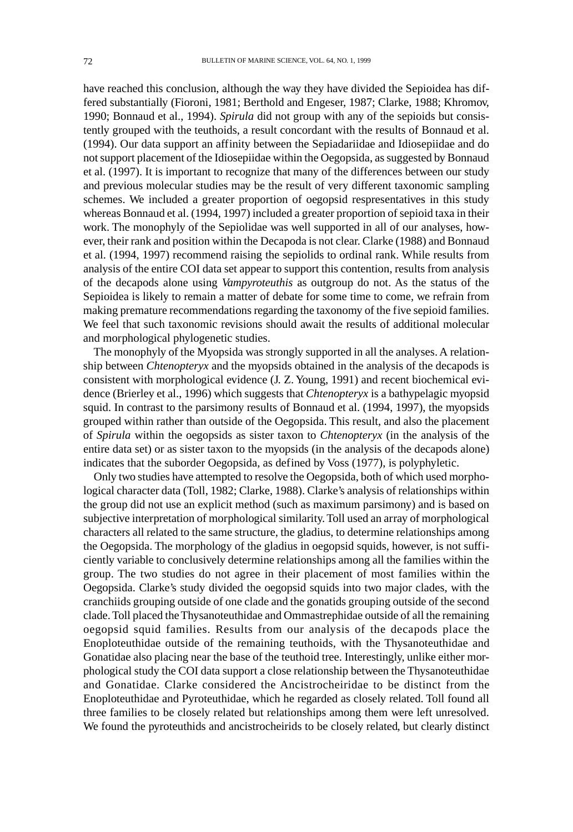have reached this conclusion, although the way they have divided the Sepioidea has differed substantially (Fioroni, 1981; Berthold and Engeser, 1987; Clarke, 1988; Khromov, 1990; Bonnaud et al., 1994). *Spirula* did not group with any of the sepioids but consistently grouped with the teuthoids, a result concordant with the results of Bonnaud et al. (1994). Our data support an affinity between the Sepiadariidae and Idiosepiidae and do not support placement of the Idiosepiidae within the Oegopsida, as suggested by Bonnaud et al. (1997). It is important to recognize that many of the differences between our study and previous molecular studies may be the result of very different taxonomic sampling schemes. We included a greater proportion of oegopsid respresentatives in this study whereas Bonnaud et al. (1994, 1997) included a greater proportion of sepioid taxa in their work. The monophyly of the Sepiolidae was well supported in all of our analyses, however, their rank and position within the Decapoda is not clear. Clarke (1988) and Bonnaud et al. (1994, 1997) recommend raising the sepiolids to ordinal rank. While results from analysis of the entire COI data set appear to support this contention, results from analysis of the decapods alone using *Vampyroteuthis* as outgroup do not. As the status of the Sepioidea is likely to remain a matter of debate for some time to come, we refrain from making premature recommendations regarding the taxonomy of the five sepioid families. We feel that such taxonomic revisions should await the results of additional molecular and morphological phylogenetic studies.

The monophyly of the Myopsida was strongly supported in all the analyses. A relationship between *Chtenopteryx* and the myopsids obtained in the analysis of the decapods is consistent with morphological evidence (J. Z. Young, 1991) and recent biochemical evidence (Brierley et al., 1996) which suggests that *Chtenopteryx* is a bathypelagic myopsid squid. In contrast to the parsimony results of Bonnaud et al. (1994, 1997), the myopsids grouped within rather than outside of the Oegopsida. This result, and also the placement of *Spirula* within the oegopsids as sister taxon to *Chtenopteryx* (in the analysis of the entire data set) or as sister taxon to the myopsids (in the analysis of the decapods alone) indicates that the suborder Oegopsida, as defined by Voss (1977), is polyphyletic.

Only two studies have attempted to resolve the Oegopsida, both of which used morphological character data (Toll, 1982; Clarke, 1988). Clarke's analysis of relationships within the group did not use an explicit method (such as maximum parsimony) and is based on subjective interpretation of morphological similarity. Toll used an array of morphological characters all related to the same structure, the gladius, to determine relationships among the Oegopsida. The morphology of the gladius in oegopsid squids, however, is not sufficiently variable to conclusively determine relationships among all the families within the group. The two studies do not agree in their placement of most families within the Oegopsida. Clarke's study divided the oegopsid squids into two major clades, with the cranchiids grouping outside of one clade and the gonatids grouping outside of the second clade. Toll placed the Thysanoteuthidae and Ommastrephidae outside of all the remaining oegopsid squid families. Results from our analysis of the decapods place the Enoploteuthidae outside of the remaining teuthoids, with the Thysanoteuthidae and Gonatidae also placing near the base of the teuthoid tree. Interestingly, unlike either morphological study the COI data support a close relationship between the Thysanoteuthidae and Gonatidae. Clarke considered the Ancistrocheiridae to be distinct from the Enoploteuthidae and Pyroteuthidae, which he regarded as closely related. Toll found all three families to be closely related but relationships among them were left unresolved. We found the pyroteuthids and ancistrocheirids to be closely related, but clearly distinct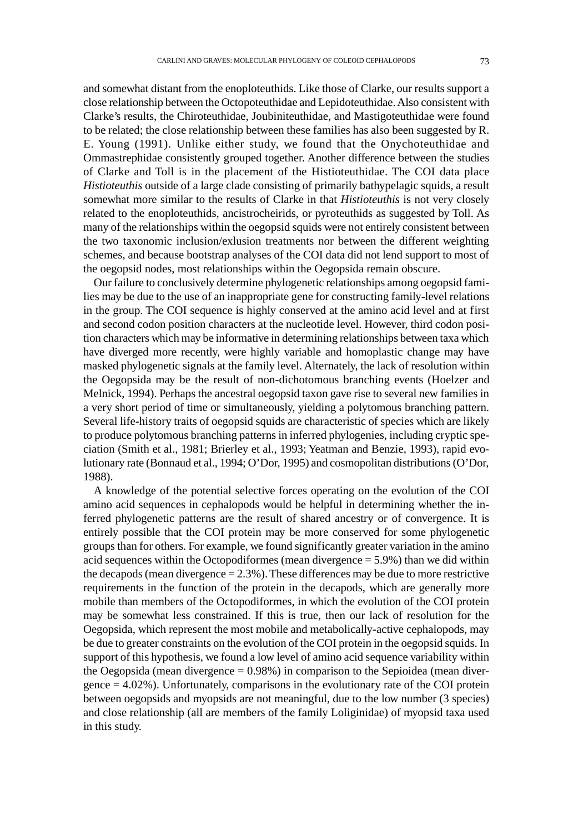and somewhat distant from the enoploteuthids. Like those of Clarke, our results support a close relationship between the Octopoteuthidae and Lepidoteuthidae. Also consistent with Clarke's results, the Chiroteuthidae, Joubiniteuthidae, and Mastigoteuthidae were found to be related; the close relationship between these families has also been suggested by R. E. Young (1991). Unlike either study, we found that the Onychoteuthidae and Ommastrephidae consistently grouped together. Another difference between the studies of Clarke and Toll is in the placement of the Histioteuthidae. The COI data place *Histioteuthis* outside of a large clade consisting of primarily bathypelagic squids, a result somewhat more similar to the results of Clarke in that *Histioteuthis* is not very closely related to the enoploteuthids, ancistrocheirids, or pyroteuthids as suggested by Toll. As many of the relationships within the oegopsid squids were not entirely consistent between the two taxonomic inclusion/exlusion treatments nor between the different weighting schemes, and because bootstrap analyses of the COI data did not lend support to most of the oegopsid nodes, most relationships within the Oegopsida remain obscure.

Our failure to conclusively determine phylogenetic relationships among oegopsid families may be due to the use of an inappropriate gene for constructing family-level relations in the group. The COI sequence is highly conserved at the amino acid level and at first and second codon position characters at the nucleotide level. However, third codon position characters which may be informative in determining relationships between taxa which have diverged more recently, were highly variable and homoplastic change may have masked phylogenetic signals at the family level. Alternately, the lack of resolution within the Oegopsida may be the result of non-dichotomous branching events (Hoelzer and Melnick, 1994). Perhaps the ancestral oegopsid taxon gave rise to several new families in a very short period of time or simultaneously, yielding a polytomous branching pattern. Several life-history traits of oegopsid squids are characteristic of species which are likely to produce polytomous branching patterns in inferred phylogenies, including cryptic speciation (Smith et al., 1981; Brierley et al., 1993; Yeatman and Benzie, 1993), rapid evolutionary rate (Bonnaud et al., 1994; O'Dor, 1995) and cosmopolitan distributions (O'Dor, 1988).

A knowledge of the potential selective forces operating on the evolution of the COI amino acid sequences in cephalopods would be helpful in determining whether the inferred phylogenetic patterns are the result of shared ancestry or of convergence. It is entirely possible that the COI protein may be more conserved for some phylogenetic groups than for others. For example, we found significantly greater variation in the amino acid sequences within the Octopodiformes (mean divergence = 5.9%) than we did within the decapods (mean divergence  $= 2.3\%$ ). These differences may be due to more restrictive requirements in the function of the protein in the decapods, which are generally more mobile than members of the Octopodiformes, in which the evolution of the COI protein may be somewhat less constrained. If this is true, then our lack of resolution for the Oegopsida, which represent the most mobile and metabolically-active cephalopods, may be due to greater constraints on the evolution of the COI protein in the oegopsid squids. In support of this hypothesis, we found a low level of amino acid sequence variability within the Oegopsida (mean divergence = 0.98%) in comparison to the Sepioidea (mean divergence = 4.02%). Unfortunately, comparisons in the evolutionary rate of the COI protein between oegopsids and myopsids are not meaningful, due to the low number (3 species) and close relationship (all are members of the family Loliginidae) of myopsid taxa used in this study.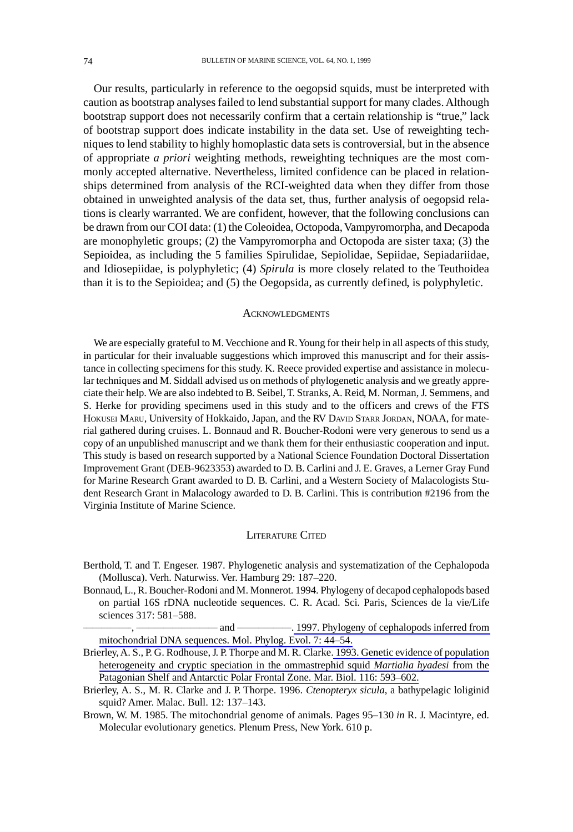Our results, particularly in reference to the oegopsid squids, must be interpreted with caution as bootstrap analyses failed to lend substantial support for many clades. Although bootstrap support does not necessarily confirm that a certain relationship is "true," lack of bootstrap support does indicate instability in the data set. Use of reweighting techniques to lend stability to highly homoplastic data sets is controversial, but in the absence of appropriate *a priori* weighting methods, reweighting techniques are the most commonly accepted alternative. Nevertheless, limited confidence can be placed in relationships determined from analysis of the RCI-weighted data when they differ from those obtained in unweighted analysis of the data set, thus, further analysis of oegopsid relations is clearly warranted. We are confident, however, that the following conclusions can be drawn from our COI data: (1) the Coleoidea, Octopoda, Vampyromorpha, and Decapoda are monophyletic groups; (2) the Vampyromorpha and Octopoda are sister taxa; (3) the Sepioidea, as including the 5 families Spirulidae, Sepiolidae, Sepiidae, Sepiadariidae, and Idiosepiidae, is polyphyletic; (4) *Spirula* is more closely related to the Teuthoidea than it is to the Sepioidea; and (5) the Oegopsida, as currently defined, is polyphyletic.

#### **ACKNOWLEDGMENTS**

We are especially grateful to M. Vecchione and R. Young for their help in all aspects of this study, in particular for their invaluable suggestions which improved this manuscript and for their assistance in collecting specimens for this study. K. Reece provided expertise and assistance in molecular techniques and M. Siddall advised us on methods of phylogenetic analysis and we greatly appreciate their help. We are also indebted to B. Seibel, T. Stranks, A. Reid, M. Norman, J. Semmens, and S. Herke for providing specimens used in this study and to the officers and crews of the FTS HOKUSEI MARU, University of Hokkaido, Japan, and the RV DAVID STARR JORDAN, NOAA, for material gathered during cruises. L. Bonnaud and R. Boucher-Rodoni were very generous to send us a copy of an unpublished manuscript and we thank them for their enthusiastic cooperation and input. This study is based on research supported by a National Science Foundation Doctoral Dissertation Improvement Grant (DEB-9623353) awarded to D. B. Carlini and J. E. Graves, a Lerner Gray Fund for Marine Research Grant awarded to D. B. Carlini, and a Western Society of Malacologists Student Research Grant in Malacology awarded to D. B. Carlini. This is contribution #2196 from the Virginia Institute of Marine Science.

#### LITERATURE CITED

- Berthold, T. and T. Engeser. 1987. Phylogenetic analysis and systematization of the Cephalopoda (Mollusca). Verh. Naturwiss. Ver. Hamburg 29: 187–220.
- Bonnaud, L., R. Boucher-Rodoni and M. Monnerot. 1994. Phylogeny of decapod cephalopods based on partial 16S rDNA nucleotide sequences. C. R. Acad. Sci. Paris, Sciences de la vie/Life sciences 317: 581–588.

\_\_\_\_\_\_\_\_\_\_\_\_\_\_\_\_, \_\_\_\_\_\_\_\_\_\_\_\_\_\_\_\_\_\_\_\_\_\_\_\_\_\_\_ and \_\_\_\_\_\_\_\_\_\_\_\_\_\_\_\_\_\_[. 1997. Phylogeny of cephalopods inferred from](http://www.ingentaconnect.com/content/external-references?article=1055-7903(1997)7L.44[aid=7451981]) [mitochondrial DNA sequences. Mol. Phylog. Evol. 7: 44–54.](http://www.ingentaconnect.com/content/external-references?article=1055-7903(1997)7L.44[aid=7451981])

- Brierley, A. S., P. G. Rodhouse, J. P. Thorpe and M. R. Clarke[. 1993. Genetic evidence of population](http://www.ingentaconnect.com/content/external-references?article=0025-3162(1993)116L.593[aid=7451976]) [heterogeneity and cryptic speciation in the ommastrephid squid](http://www.ingentaconnect.com/content/external-references?article=0025-3162(1993)116L.593[aid=7451976]) *Martialia hyadesi* from the [Patagonian Shelf and Antarctic Polar Frontal Zone. Mar. Biol. 116: 593–602.](http://www.ingentaconnect.com/content/external-references?article=0025-3162(1993)116L.593[aid=7451976])
- Brierley, A. S., M. R. Clarke and J. P. Thorpe. 1996. *Ctenopteryx sicula*, a bathypelagic loliginid squid? Amer. Malac. Bull. 12: 137–143.
- Brown, W. M. 1985. The mitochondrial genome of animals. Pages 95–130 *in* R. J. Macintyre, ed. Molecular evolutionary genetics. Plenum Press, New York. 610 p.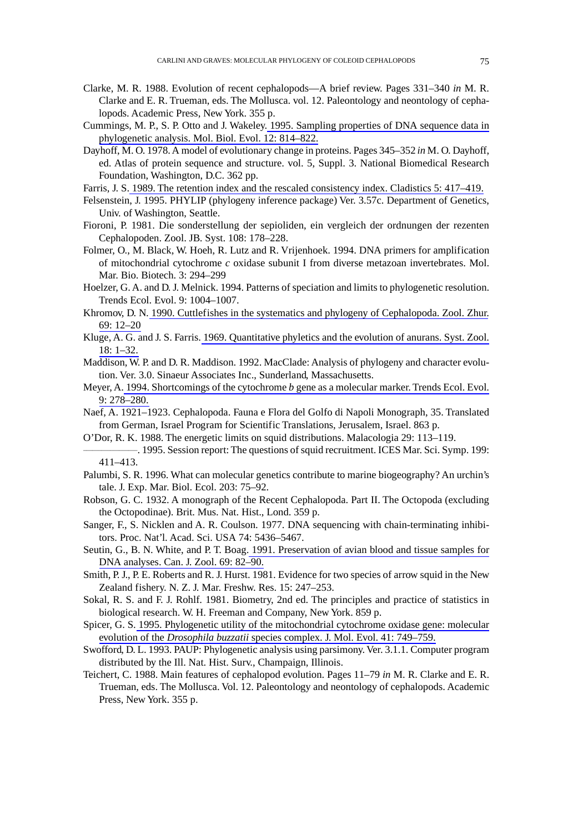- Clarke, M. R. 1988. Evolution of recent cephalopods—A brief review. Pages 331–340 *in* M. R. Clarke and E. R. Trueman, eds. The Mollusca. vol. 12. Paleontology and neontology of cephalopods. Academic Press, New York. 355 p.
- Cummings, M. P., S. P. Otto and J. Wakeley. [1995. Sampling properties of DNA sequence data in](http://www.ingentaconnect.com/content/external-references?article=0737-4038(1995)12L.814[aid=8193040]) [phylogenetic analysis. Mol. Biol. Evol. 12: 814–822.](http://www.ingentaconnect.com/content/external-references?article=0737-4038(1995)12L.814[aid=8193040])
- Dayhoff, M. O. 1978. A model of evolutionary change in proteins. Pages 345–352 *in* M. O. Dayhoff, ed. Atlas of protein sequence and structure. vol. 5, Suppl. 3. National Biomedical Research Foundation, Washington, D.C. 362 pp.
- Farris, J. S. [1989. The retention index and the rescaled consistency index. Cladistics 5: 417–419.](http://www.ingentaconnect.com/content/external-references?article=0748-3007(1989)5L.417[aid=5799530])
- Felsenstein, J. 1995. PHYLIP (phylogeny inference package) Ver. 3.57c. Department of Genetics, Univ. of Washington, Seattle.
- Fioroni, P. 1981. Die sonderstellung der sepioliden, ein vergleich der ordnungen der rezenten Cephalopoden. Zool. JB. Syst. 108: 178–228.
- Folmer, O., M. Black, W. Hoeh, R. Lutz and R. Vrijenhoek. 1994. DNA primers for amplification of mitochondrial cytochrome *c* oxidase subunit I from diverse metazoan invertebrates. Mol. Mar. Bio. Biotech. 3: 294–299
- Hoelzer, G. A. and D. J. Melnick. 1994. Patterns of speciation and limits to phylogenetic resolution. Trends Ecol. Evol. 9: 1004–1007.
- Khromov, D. N. [1990. Cuttlefishes in the systematics and phylogeny of Cephalopoda. Zool. Zhur.](http://www.ingentaconnect.com/content/external-references?article=0044-5134(1990)69L.12[aid=7452113]) [69: 12–20](http://www.ingentaconnect.com/content/external-references?article=0044-5134(1990)69L.12[aid=7452113])
- Kluge, A. G. and J. S. Farris. [1969. Quantitative phyletics and the evolution of anurans. Syst. Zool.](http://www.ingentaconnect.com/content/external-references?article=0039-7989(1969)18L.1[aid=5389249]) [18: 1–32.](http://www.ingentaconnect.com/content/external-references?article=0039-7989(1969)18L.1[aid=5389249])
- Maddison, W. P. and D. R. Maddison. 1992. MacClade: Analysis of phylogeny and character evolution. Ver. 3.0. Sinaeur Associates Inc., Sunderland, Massachusetts.
- Meyer, A. 1994. Shortcomings of the cytochrome *b* [gene as a molecular marker. Trends Ecol. Evol.](http://www.ingentaconnect.com/content/external-references?article=0169-5347(1994)9L.278[aid=8193038]) [9: 278–280.](http://www.ingentaconnect.com/content/external-references?article=0169-5347(1994)9L.278[aid=8193038])
- Naef, A. 1921–1923. Cephalopoda. Fauna e Flora del Golfo di Napoli Monograph, 35. Translated from German, Israel Program for Scientific Translations, Jerusalem, Israel. 863 p.
- O'Dor, R. K. 1988. The energetic limits on squid distributions. Malacologia 29: 113–119.
- $-$ . 1995. Session report: The questions of squid recruitment. ICES Mar. Sci. Symp. 199: 411–413.
- Palumbi, S. R. 1996. What can molecular genetics contribute to marine biogeography? An urchin's tale. J. Exp. Mar. Biol. Ecol. 203: 75–92.
- Robson, G. C. 1932. A monograph of the Recent Cephalopoda. Part II. The Octopoda (excluding the Octopodinae). Brit. Mus. Nat. Hist., Lond. 359 p.
- Sanger, F., S. Nicklen and A. R. Coulson. 1977. DNA sequencing with chain-terminating inhibitors. Proc. Nat'l. Acad. Sci. USA 74: 5436–5467.
- Seutin, G., B. N. White, and P. T. Boag[. 1991. Preservation of avian blood and tissue samples for](http://www.ingentaconnect.com/content/external-references?article=0008-4301(1991)69L.82[aid=2518940]) [DNA analyses. Can. J. Zool. 69: 82–90.](http://www.ingentaconnect.com/content/external-references?article=0008-4301(1991)69L.82[aid=2518940])
- Smith, P. J., P. E. Roberts and R. J. Hurst. 1981. Evidence for two species of arrow squid in the New Zealand fishery. N. Z. J. Mar. Freshw. Res. 15: 247–253.
- Sokal, R. S. and F. J. Rohlf. 1981. Biometry, 2nd ed. The principles and practice of statistics in biological research. W. H. Freeman and Company, New York. 859 p.
- Spicer, G. S. [1995. Phylogenetic utility of the mitochondrial cytochrome oxidase gene: molecular](http://www.ingentaconnect.com/content/external-references?article=0022-2844(1995)41L.749[aid=5804390]) evolution of the *Drosophila buzzatii* [species complex. J. Mol. Evol. 41: 749–759.](http://www.ingentaconnect.com/content/external-references?article=0022-2844(1995)41L.749[aid=5804390])
- Swofford, D. L. 1993. PAUP: Phylogenetic analysis using parsimony. Ver. 3.1.1. Computer program distributed by the Ill. Nat. Hist. Surv., Champaign, Illinois.
- Teichert, C. 1988. Main features of cephalopod evolution. Pages 11–79 *in* M. R. Clarke and E. R. Trueman, eds. The Mollusca. Vol. 12. Paleontology and neontology of cephalopods. Academic Press, New York. 355 p.